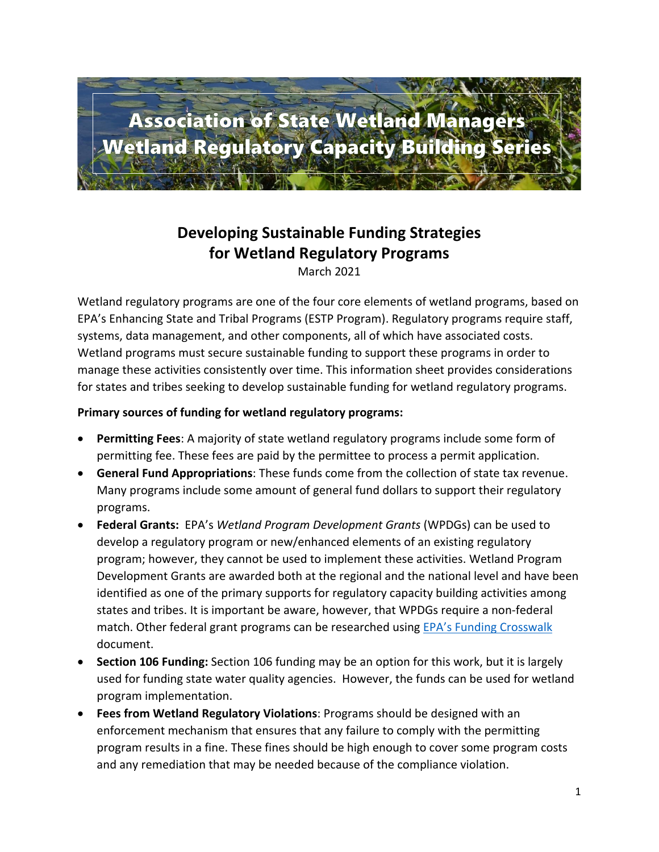

# **Developing Sustainable Funding Strategies for Wetland Regulatory Programs**

March 2021

Wetland regulatory programs are one of the four core elements of wetland programs, based on EPA's Enhancing State and Tribal Programs (ESTP Program). Regulatory programs require staff, systems, data management, and other components, all of which have associated costs. Wetland programs must secure sustainable funding to support these programs in order to manage these activities consistently over time. This information sheet provides considerations for states and tribes seeking to develop sustainable funding for wetland regulatory programs.

#### **Primary sources of funding for wetland regulatory programs:**

- **Permitting Fees**: A majority of state wetland regulatory programs include some form of permitting fee. These fees are paid by the permittee to process a permit application.
- **General Fund Appropriations**: These funds come from the collection of state tax revenue. Many programs include some amount of general fund dollars to support their regulatory programs.
- **Federal Grants:** EPA's *Wetland Program Development Grants* (WPDGs) can be used to develop a regulatory program or new/enhanced elements of an existing regulatory program; however, they cannot be used to implement these activities. Wetland Program Development Grants are awarded both at the regional and the national level and have been identified as one of the primary supports for regulatory capacity building activities among states and tribes. It is important be aware, however, that WPDGs require a non-federal match. Other federal grant programs can be researched using [EPA's Funding Crosswalk](https://www.aswm.org/capacity_building/r7_cross_funding_tiering_of_estp_ces_june_27_2018_508.pdf) document.
- **Section 106 Funding:** Section 106 funding may be an option for this work, but it is largely used for funding state water quality agencies. However, the funds can be used for wetland program implementation.
- **Fees from Wetland Regulatory Violations**: Programs should be designed with an enforcement mechanism that ensures that any failure to comply with the permitting program results in a fine. These fines should be high enough to cover some program costs and any remediation that may be needed because of the compliance violation.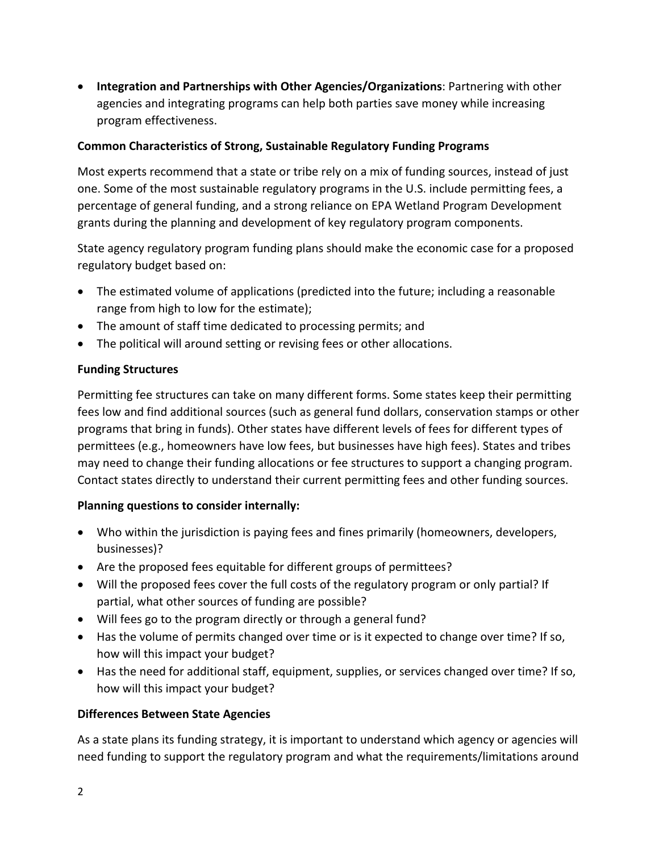• **Integration and Partnerships with Other Agencies/Organizations**: Partnering with other agencies and integrating programs can help both parties save money while increasing program effectiveness.

#### **Common Characteristics of Strong, Sustainable Regulatory Funding Programs**

Most experts recommend that a state or tribe rely on a mix of funding sources, instead of just one. Some of the most sustainable regulatory programs in the U.S. include permitting fees, a percentage of general funding, and a strong reliance on EPA Wetland Program Development grants during the planning and development of key regulatory program components.

State agency regulatory program funding plans should make the economic case for a proposed regulatory budget based on:

- The estimated volume of applications (predicted into the future; including a reasonable range from high to low for the estimate);
- The amount of staff time dedicated to processing permits; and
- The political will around setting or revising fees or other allocations.

### **Funding Structures**

Permitting fee structures can take on many different forms. Some states keep their permitting fees low and find additional sources (such as general fund dollars, conservation stamps or other programs that bring in funds). Other states have different levels of fees for different types of permittees (e.g., homeowners have low fees, but businesses have high fees). States and tribes may need to change their funding allocations or fee structures to support a changing program. Contact states directly to understand their current permitting fees and other funding sources.

#### **Planning questions to consider internally:**

- Who within the jurisdiction is paying fees and fines primarily (homeowners, developers, businesses)?
- Are the proposed fees equitable for different groups of permittees?
- Will the proposed fees cover the full costs of the regulatory program or only partial? If partial, what other sources of funding are possible?
- Will fees go to the program directly or through a general fund?
- Has the volume of permits changed over time or is it expected to change over time? If so, how will this impact your budget?
- Has the need for additional staff, equipment, supplies, or services changed over time? If so, how will this impact your budget?

#### **Differences Between State Agencies**

As a state plans its funding strategy, it is important to understand which agency or agencies will need funding to support the regulatory program and what the requirements/limitations around